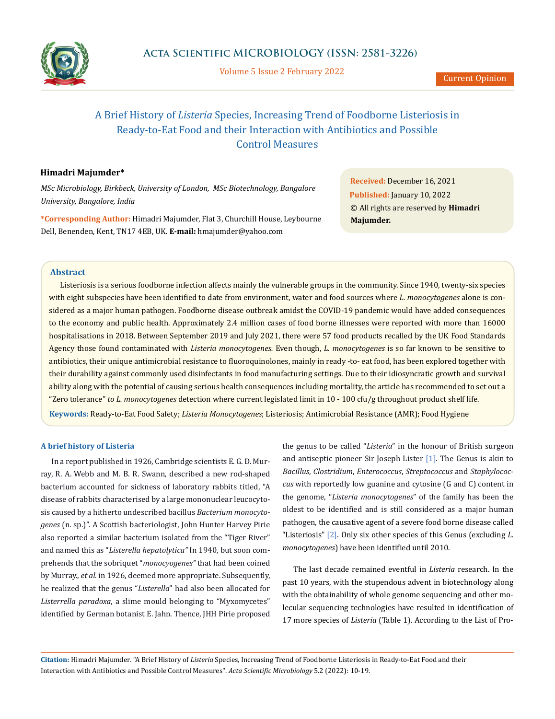

Volume 5 Issue 2 February 2022

# A Brief History of *Listeria* Species, Increasing Trend of Foodborne Listeriosis in Ready-to-Eat Food and their Interaction with Antibiotics and Possible Control Measures

# **Himadri Majumder\***

*MSc Microbiology, Birkbeck, University of London, MSc Biotechnology, Bangalore University, Bangalore, India*

**\*Corresponding Author:** Himadri Majumder, Flat 3, Churchill House, Leybourne Dell, Benenden, Kent, TN17 4EB, UK. **E-mail:** [hmajumder@yahoo.com](mailto:hmajumder%40yahoo.com?subject=)

**Received:** December 16, 2021 **Published:** January 10, 2022 © All rights are reserved by **Himadri Majumder.**

## **Abstract**

Listeriosis is a serious foodborne infection affects mainly the vulnerable groups in the community. Since 1940, twenty-six species with eight subspecies have been identified to date from environment, water and food sources where *L. monocytogenes* alone is considered as a major human pathogen. Foodborne disease outbreak amidst the COVID-19 pandemic would have added consequences to the economy and public health. Approximately 2.4 million cases of food borne illnesses were reported with more than 16000 hospitalisations in 2018. Between September 2019 and July 2021, there were 57 food products recalled by the UK Food Standards Agency those found contaminated with *Listeria monocytogenes.* Even though, *L. monocytogenes* is so far known to be sensitive to antibiotics, their unique antimicrobial resistance to fluoroquinolones, mainly in ready -to- eat food, has been explored together with their durability against commonly used disinfectants in food manufacturing settings. Due to their idiosyncratic growth and survival ability along with the potential of causing serious health consequences including mortality, the article has recommended to set out a "Zero tolerance" *to L. monocytogenes* detection where current legislated limit in 10 - 100 cfu/g throughout product shelf life.

**Keywords:** Ready-to-Eat Food Safety; *Listeria Monocytogenes*; Listeriosis; Antimicrobial Resistance (AMR); Food Hygiene

### **A brief history of Listeria**

In a report published in 1926, Cambridge scientists E. G. D. Murray, R. A. Webb and M. B. R. Swann, described a new rod-shaped bacterium accounted for sickness of laboratory rabbits titled, "A disease of rabbits characterised by a large mononuclear leucocytosis caused by a hitherto undescribed bacillus *Bacterium monocytogenes* (n. sp.)". A Scottish bacteriologist, John Hunter Harvey Pirie also reported a similar bacterium isolated from the "Tiger River" and named this as "*Listerella hepatolytica"* In 1940, but soon comprehends that the sobriquet "*monocyogenes"* that had been coined by Murray., *et al.* in 1926, deemed more appropriate. Subsequently, he realized that the genus "*Listerella*" had also been allocated for *Listerrella paradoxa*, a slime mould belonging to "Myxomycetes" identified by German botanist E. Jahn. Thence, JHH Pirie proposed the genus to be called "*Listeria*" in the honour of British surgeon and antiseptic pioneer Sir Joseph Lister [1]. The Genus is akin to *Bacillus*, *Clostridium*, *Enterococcus*, *Streptococcus* and *Staphylococcus* with reportedly low guanine and cytosine (G and C) content in the genome, "*Listeria monocytogenes*" of the family has been the oldest to be identified and is still considered as a major human pathogen, the causative agent of a severe food borne disease called "Listeriosis" [2]. Only six other species of this Genus (excluding *L. monocytogenes*) have been identified until 2010.

The last decade remained eventful in *Listeria* research. In the past 10 years, with the stupendous advent in biotechnology along with the obtainability of whole genome sequencing and other molecular sequencing technologies have resulted in identification of 17 more species of *Listeria* (Table 1). According to the List of Pro-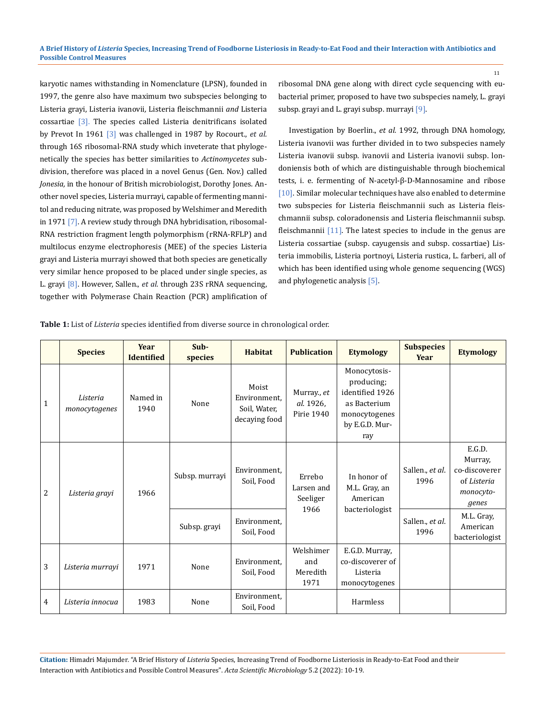karyotic names withstanding in Nomenclature (LPSN), founded in 1997, the genre also have maximum two subspecies belonging to Listeria grayi, Listeria ivanovii*,* Listeria fleischmannii *and* Listeria cossartiae [3]. The species called Listeria denitrificans isolated by Prevot In 1961 [3] was challenged in 1987 by Rocourt., *et al.* through 16S ribosomal-RNA study which inveterate that phylogenetically the species has better similarities to *Actinomycetes* subdivision, therefore was placed in a novel Genus (Gen. Nov.) called *Jonesia,* in the honour of British microbiologist, Dorothy Jones. Another novel species, Listeria murrayi, capable of fermenting mannitol and reducing nitrate, was proposed by Welshimer and Meredith in 1971 [7]. A review study through DNA hybridisation, ribosomal-RNA restriction fragment length polymorphism (rRNA-RFLP) and multilocus enzyme electrophoresis (MEE) of the species Listeria grayi and Listeria murrayi showed that both species are genetically very similar hence proposed to be placed under single species, as L. grayi [8]. However, Sallen., *et al.* through 23S rRNA sequencing, together with Polymerase Chain Reaction (PCR) amplification of ribosomal DNA gene along with direct cycle sequencing with eubacterial primer, proposed to have two subspecies namely, L. grayi subsp. grayi and L. grayi subsp. murrayi [9].

Investigation by Boerlin., *et al.* 1992, through DNA homology, Listeria ivanovii was further divided in to two subspecies namely Listeria ivanovii subsp. ivanovii and Listeria ivanovii subsp. londoniensis both of which are distinguishable through biochemical tests, i. e. fermenting of N-acetyl-β-D-Mannosamine and ribose [10]. Similar molecular techniques have also enabled to determine two subspecies for Listeria fleischmannii such as Listeria fleischmannii subsp. coloradonensis and Listeria fleischmannii subsp. fleischmannii [11]. The latest species to include in the genus are Listeria cossartiae (subsp. cayugensis and subsp. cossartiae) Listeria immobilis, Listeria portnoyi, Listeria rustica, L. farberi, all of which has been identified using whole genome sequencing (WGS) and phylogenetic analysis [5].

|  | <b>Table 1:</b> List of <i>Listeria</i> species identified from diverse source in chronological order. |
|--|--------------------------------------------------------------------------------------------------------|
|--|--------------------------------------------------------------------------------------------------------|

|                | <b>Species</b>            | <b>Year</b><br><b>Identified</b> | $Sub-$<br>species | <b>Habitat</b>                                         | <b>Publication</b>                       | <b>Etymology</b>                                                                                        | <b>Subspecies</b><br><b>Year</b> | <b>Etymology</b>                                                        |
|----------------|---------------------------|----------------------------------|-------------------|--------------------------------------------------------|------------------------------------------|---------------------------------------------------------------------------------------------------------|----------------------------------|-------------------------------------------------------------------------|
| 1              | Listeria<br>monocytogenes | Named in<br>1940                 | None              | Moist<br>Environment.<br>Soil, Water,<br>decaying food | Murray., et<br>al. 1926,<br>Pirie 1940   | Monocytosis-<br>producing;<br>identified 1926<br>as Bacterium<br>monocytogenes<br>by E.G.D. Mur-<br>ray |                                  |                                                                         |
| $\overline{2}$ | Listeria grayi            | 1966                             | Subsp. murrayi    | Environment,<br>Soil, Food                             | Errebo<br>Larsen and<br>Seeliger<br>1966 | In honor of<br>M.L. Gray, an<br>American                                                                | Sallen., et al.<br>1996          | E.G.D.<br>Murray,<br>co-discoverer<br>of Listeria<br>monocyto-<br>genes |
|                |                           |                                  | Subsp. grayi      | Environment.<br>Soil, Food                             |                                          | bacteriologist                                                                                          | Sallen., et al.<br>1996          | M.L. Gray,<br>American<br>bacteriologist                                |
| 3              | Listeria murrayi          | 1971                             | None              | Environment.<br>Soil, Food                             | Welshimer<br>and<br>Meredith<br>1971     | E.G.D. Murray,<br>co-discoverer of<br>Listeria<br>monocytogenes                                         |                                  |                                                                         |
| 4              | Listeria innocua          | 1983                             | None              | Environment,<br>Soil, Food                             |                                          | Harmless                                                                                                |                                  |                                                                         |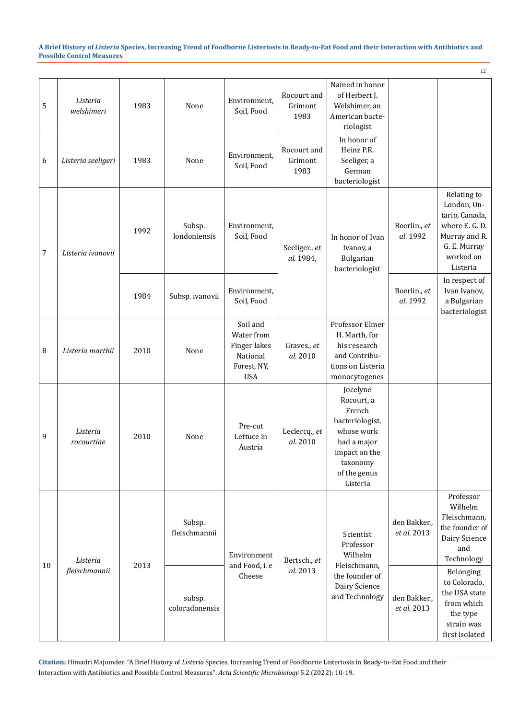|    |                           |      |                          |                                                                                 |                                |                                                                                                                                           |                             | 12                                                                                                                       |  |                          |                                                                |
|----|---------------------------|------|--------------------------|---------------------------------------------------------------------------------|--------------------------------|-------------------------------------------------------------------------------------------------------------------------------------------|-----------------------------|--------------------------------------------------------------------------------------------------------------------------|--|--------------------------|----------------------------------------------------------------|
| 5  | Listeria<br>welshimeri    | 1983 | None                     | Environment,<br>Soil, Food                                                      | Rocourt and<br>Grimont<br>1983 | Named in honor<br>of Herbert J.<br>Welshimer, an<br>American bacte-<br>riologist                                                          |                             |                                                                                                                          |  |                          |                                                                |
| 6  | Listeria seeligeri        | 1983 | None                     | Environment,<br>Soil, Food                                                      | Rocourt and<br>Grimont<br>1983 | In honor of<br>Heinz P.R.<br>Seeliger, a<br>German<br>bacteriologist                                                                      |                             |                                                                                                                          |  |                          |                                                                |
| 7  | Listeria ivanovii         | 1992 | Subsp.<br>londoniensis   | Environment,<br>Soil, Food                                                      | Seeliger., et<br>al. 1984,     | In honor of Ivan<br>Ivanov, a<br>Bulgarian<br>bacteriologist                                                                              | Boerlin., et<br>al. 1992    | Relating to<br>London, On-<br>tario, Canada,<br>where E. G. D.<br>Murray and R.<br>G. E. Murray<br>worked on<br>Listeria |  |                          |                                                                |
|    |                           | 1984 | Subsp. ivanovii          | Environment,<br>Soil, Food                                                      |                                |                                                                                                                                           |                             |                                                                                                                          |  | Boerlin., et<br>al. 1992 | In respect of<br>Ivan Ivanov,<br>a Bulgarian<br>bacteriologist |
| 8  | Listeria marthii          | 2010 | None                     | Soil and<br>Water from<br>Finger lakes<br>National<br>Forest, NY,<br><b>USA</b> | Graves., et<br>al. 2010        | Professor Elmer<br>H. Marth, for<br>his research<br>and Contribu-<br>tions on Listeria<br>monocytogenes                                   |                             |                                                                                                                          |  |                          |                                                                |
| 9  | Listeria<br>rocourtiae    | 2010 | None                     | Pre-cut<br>Lettuce in<br>Austria                                                | Leclercq., et<br>al. 2010      | Jocelyne<br>Rocourt, a<br>French<br>bacteriologist,<br>whose work<br>had a major<br>impact on the<br>taxonomy<br>of the genus<br>Listeria |                             |                                                                                                                          |  |                          |                                                                |
|    | Listeria<br>fleischmannii | 2013 | Subsp.<br>fleischmannii  | Environment                                                                     | Bertsch., et                   | Scientist<br>Professor<br>Wilhelm                                                                                                         | den Bakker.,<br>et al. 2013 | Professor<br>Wilhelm<br>Fleischmann,<br>the founder of<br>Dairy Science<br>and<br>Technology                             |  |                          |                                                                |
| 10 |                           |      | subsp.<br>coloradonensis | and Food, i. e<br>Cheese                                                        | al. 2013                       | Fleischmann,<br>the founder of<br>Dairy Science<br>and Technology                                                                         | den Bakker.,<br>et al. 2013 | Belonging<br>to Colorado,<br>the USA state<br>from which<br>the type<br>strain was<br>first isolated                     |  |                          |                                                                |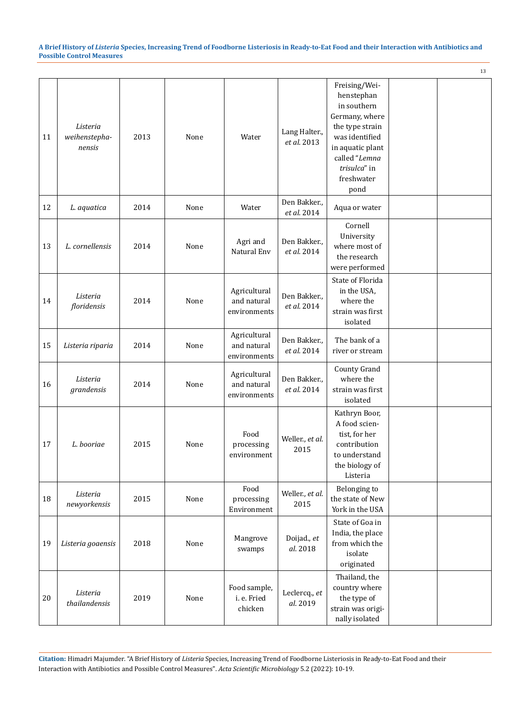|    |                                     |      |      |                                             |                              |                                                                                                                                                                              | 13 |
|----|-------------------------------------|------|------|---------------------------------------------|------------------------------|------------------------------------------------------------------------------------------------------------------------------------------------------------------------------|----|
| 11 | Listeria<br>weihenstepha-<br>nensis | 2013 | None | Water                                       | Lang Halter.,<br>et al. 2013 | Freising/Wei-<br>henstephan<br>in southern<br>Germany, where<br>the type strain<br>was identified<br>in aquatic plant<br>called "Lemna<br>trisulca" in<br>freshwater<br>pond |    |
| 12 | L. aquatica                         | 2014 | None | Water                                       | Den Bakker.,<br>et al. 2014  | Aqua or water                                                                                                                                                                |    |
| 13 | L. cornellensis                     | 2014 | None | Agri and<br>Natural Env                     | Den Bakker.,<br>et al. 2014  | Cornell<br>University<br>where most of<br>the research<br>were performed                                                                                                     |    |
| 14 | Listeria<br>floridensis             | 2014 | None | Agricultural<br>and natural<br>environments | Den Bakker.,<br>et al. 2014  | State of Florida<br>in the USA,<br>where the<br>strain was first<br>isolated                                                                                                 |    |
| 15 | Listeria riparia                    | 2014 | None | Agricultural<br>and natural<br>environments | Den Bakker.,<br>et al. 2014  | The bank of a<br>river or stream                                                                                                                                             |    |
| 16 | Listeria<br>grandensis              | 2014 | None | Agricultural<br>and natural<br>environments | Den Bakker.,<br>et al. 2014  | County Grand<br>where the<br>strain was first<br>isolated                                                                                                                    |    |
| 17 | L. booriae                          | 2015 | None | Food<br>processing<br>environment           | Weller., et al.<br>2015      | Kathryn Boor,<br>A food scien-<br>tist, for her<br>contribution<br>to understand<br>the biology of<br>Listeria                                                               |    |
| 18 | Listeria<br>newyorkensis            | 2015 | None | Food<br>processing<br>Environment           | Weller., et al.<br>2015      | Belonging to<br>the state of New<br>York in the USA                                                                                                                          |    |
| 19 | Listeria goaensis                   | 2018 | None | Mangrove<br>swamps                          | Doijad., et<br>al. 2018      | State of Goa in<br>India, the place<br>from which the<br>isolate<br>originated                                                                                               |    |
| 20 | Listeria<br>thailandensis           | 2019 | None | Food sample,<br>i. e. Fried<br>chicken      | Leclercq., et<br>al. 2019    | Thailand, the<br>country where<br>the type of<br>strain was origi-<br>nally isolated                                                                                         |    |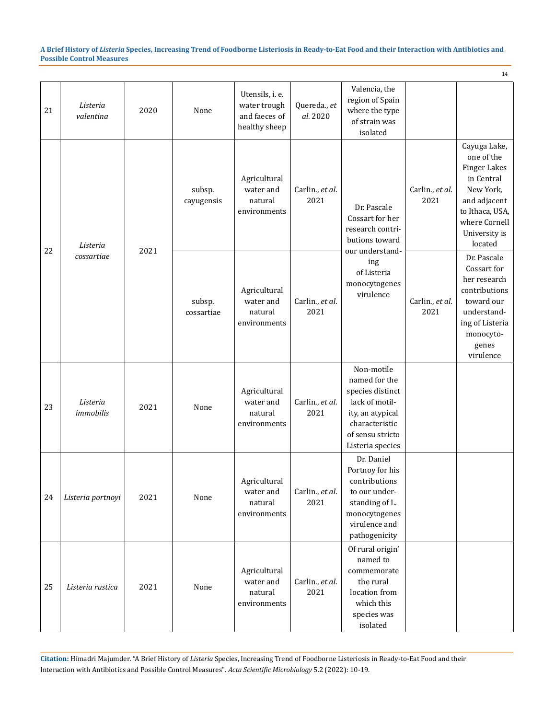|    |                       |      |                      |                                                                   |                          |                                                                                                                                                 |                         | 14                                                                                                                                                           |  |
|----|-----------------------|------|----------------------|-------------------------------------------------------------------|--------------------------|-------------------------------------------------------------------------------------------------------------------------------------------------|-------------------------|--------------------------------------------------------------------------------------------------------------------------------------------------------------|--|
| 21 | Listeria<br>valentina | 2020 | None                 | Utensils, i. e.<br>water trough<br>and faeces of<br>healthy sheep | Quereda., et<br>al. 2020 | Valencia, the<br>region of Spain<br>where the type<br>of strain was<br>isolated                                                                 |                         |                                                                                                                                                              |  |
| 22 | Listeria              | 2021 | subsp.<br>cayugensis | Agricultural<br>water and<br>natural<br>environments              | Carlin., et al.<br>2021  | Dr. Pascale<br>Cossart for her<br>research contri-<br>butions toward                                                                            | Carlin., et al.<br>2021 | Cayuga Lake,<br>one of the<br><b>Finger Lakes</b><br>in Central<br>New York,<br>and adjacent<br>to Ithaca, USA,<br>where Cornell<br>University is<br>located |  |
|    | cossartiae            |      | subsp.<br>cossartiae | Agricultural<br>water and<br>natural<br>environments              | Carlin., et al.<br>2021  | our understand-<br>ing<br>of Listeria<br>monocytogenes<br>virulence                                                                             | Carlin., et al.<br>2021 | Dr. Pascale<br>Cossart for<br>her research<br>contributions<br>toward our<br>understand-<br>ing of Listeria<br>monocyto-<br>genes<br>virulence               |  |
| 23 | Listeria<br>immobilis | 2021 | None                 | Agricultural<br>water and<br>natural<br>environments              | Carlin., et al.<br>2021  | Non-motile<br>named for the<br>species distinct<br>lack of motil-<br>ity, an atypical<br>characteristic<br>of sensu stricto<br>Listeria species |                         |                                                                                                                                                              |  |
| 24 | Listeria portnoyi     | 2021 | None                 | Agricultural<br>water and<br>natural<br>environments              | Carlin., et al.<br>2021  | Dr. Daniel<br>Portnoy for his<br>contributions<br>to our under-<br>standing of L.<br>monocytogenes<br>virulence and<br>pathogenicity            |                         |                                                                                                                                                              |  |
| 25 | Listeria rustica      | 2021 | None                 | Agricultural<br>water and<br>natural<br>environments              | Carlin., et al.<br>2021  | Of rural origin'<br>named to<br>commemorate<br>the rural<br>location from<br>which this<br>species was<br>isolated                              |                         |                                                                                                                                                              |  |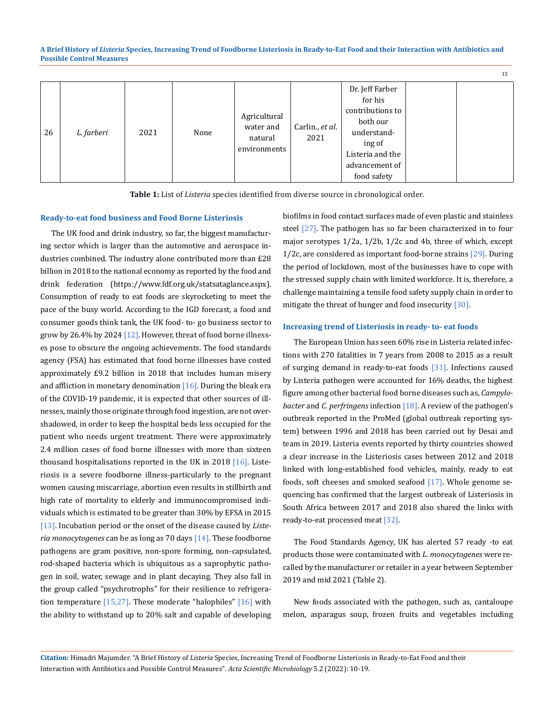| 26 | L. farberi | 2021 | None | Agricultural<br>water and<br>natural<br>environments | Carlin., et al.<br>2021 | Dr. Jeff Farber<br>for his<br>contributions to<br>both our<br>understand-<br>ing of<br>Listeria and the<br>advancement of<br>food safety |  |  |
|----|------------|------|------|------------------------------------------------------|-------------------------|------------------------------------------------------------------------------------------------------------------------------------------|--|--|
|----|------------|------|------|------------------------------------------------------|-------------------------|------------------------------------------------------------------------------------------------------------------------------------------|--|--|

**Table 1:** List of *Listeria* species identified from diverse source in chronological order.

#### **Ready-to-eat food business and Food Borne Listeriosis**

The UK food and drink industry, so far, the biggest manufacturing sector which is larger than the automotive and aerospace industries combined. The industry alone contributed more than £28 billion in 2018 to the national economy as reported by the food and drink federation (https://www.fdf.org.uk/statsataglance.aspx). Consumption of ready to eat foods are skyrocketing to meet the pace of the busy world. According to the IGD forecast, a food and consumer goods think tank, the UK food- to- go business sector to grow by 26.4% by 2024 [12]. However, threat of food borne illnesses pose to obscure the ongoing achievements. The food standards agency (FSA) has estimated that food borne illnesses have costed approximately £9.2 billion in 2018 that includes human misery and affliction in monetary denomination  $[16]$ . During the bleak era of the COVID-19 pandemic, it is expected that other sources of illnesses, mainly those originate through food ingestion, are not overshadowed, in order to keep the hospital beds less occupied for the patient who needs urgent treatment. There were approximately 2.4 million cases of food borne illnesses with more than sixteen thousand hospitalisations reported in the UK in 2018  $[16]$ . Listeriosis is a severe foodborne illness-particularly to the pregnant women causing miscarriage, abortion even results in stillbirth and high rate of mortality to elderly and immunocompromised individuals which is estimated to be greater than 30% by EFSA in 2015 [13]. Incubation period or the onset of the disease caused by *Listeria monocytogenes* can be as long as 70 days [14]. These foodborne pathogens are gram positive, non-spore forming, non-capsulated, rod-shaped bacteria which is ubiquitous as a saprophytic pathogen in soil, water, sewage and in plant decaying. They also fall in the group called "psychrotrophs" for their resilience to refrigeration temperature  $[15,27]$ . These moderate "halophiles"  $[16]$  with the ability to withstand up to 20% salt and capable of developing biofilms in food contact surfaces made of even plastic and stainless steel [27]. The pathogen has so far been characterized in to four major serotypes 1/2a, 1/2b, 1/2c and 4b, three of which, except 1/2c, are considered as important food-borne strains [29]. During the period of lockdown, most of the businesses have to cope with the stressed supply chain with limited workforce. It is, therefore, a challenge maintaining a tensile food safety supply chain in order to mitigate the threat of hunger and food insecurity [30].

15

#### **Increasing trend of Listeriosis in ready- to- eat foods**

The European Union has seen 60% rise in Listeria related infections with 270 fatalities in 7 years from 2008 to 2015 as a result of surging demand in ready-to-eat foods [31]. Infections caused by Listeria pathogen were accounted for 16% deaths, the highest figure among other bacterial food borne diseases such as, *Campylobacter* and *C. perfringens* infection [18]. A review of the pathogen's outbreak reported in the ProMed (global outbreak reporting system) between 1996 and 2018 has been carried out by Desai and team in 2019. Listeria events reported by thirty countries showed a clear increase in the Listeriosis cases between 2012 and 2018 linked with long-established food vehicles, mainly, ready to eat foods, soft cheeses and smoked seafood [17]. Whole genome sequencing has confirmed that the largest outbreak of Listeriosis in South Africa between 2017 and 2018 also shared the links with ready-to-eat processed meat [32].

The Food Standards Agency, UK has alerted 57 ready -to eat products those were contaminated with *L. monocytogenes* were recalled by the manufacturer or retailer in a year between September 2019 and mid 2021 (Table 2).

New foods associated with the pathogen, such as, cantaloupe melon, asparagus soup, frozen fruits and vegetables including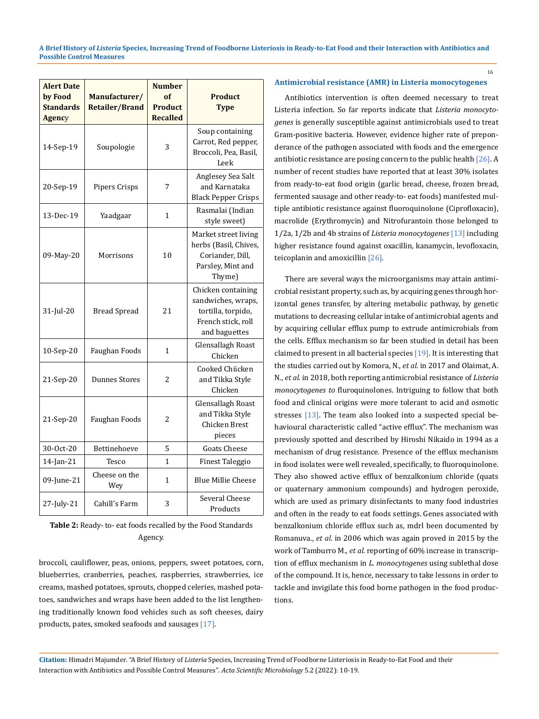| <b>Alert Date</b><br>by Food<br><b>Standards</b><br>Agency | Manufacturer/<br><b>Retailer/Brand</b> | <b>Number</b><br>of<br><b>Product</b><br><b>Recalled</b> | <b>Product</b><br><b>Type</b>                                                                         |
|------------------------------------------------------------|----------------------------------------|----------------------------------------------------------|-------------------------------------------------------------------------------------------------------|
| 14-Sep-19                                                  | Soupologie                             | 3                                                        | Soup containing<br>Carrot, Red pepper,<br>Broccoli, Pea, Basil,<br>Leek                               |
| 20-Sep-19                                                  | Pipers Crisps                          | 7                                                        | Anglesey Sea Salt<br>and Karnataka<br><b>Black Pepper Crisps</b>                                      |
| 13-Dec-19                                                  | Yaadgaar                               | $\mathbf{1}$                                             | Rasmalai (Indian<br>style sweet)                                                                      |
| 09-May-20                                                  | Morrisons                              | 10                                                       | Market street living<br>herbs (Basil, Chives,<br>Coriander, Dill,<br>Parsley, Mint and<br>Thyme)      |
| 31-Jul-20                                                  | <b>Bread Spread</b>                    | 21                                                       | Chicken containing<br>sandwiches, wraps,<br>tortilla, torpido,<br>French stick, roll<br>and baguettes |
| 10-Sep-20                                                  | Faughan Foods                          | 1                                                        | <b>Glensallagh Roast</b><br>Chicken                                                                   |
| 21-Sep-20                                                  | <b>Dunnes Stores</b>                   | 2                                                        | Cooked Chiicken<br>and Tikka Style<br>Chicken                                                         |
| 21-Sep-20                                                  | Faughan Foods                          | 2                                                        | <b>Glensallagh Roast</b><br>and Tikka Style<br>Chicken Brest<br>pieces                                |
| 30-Oct-20                                                  | Bettinehoeve                           | 5                                                        | <b>Goats Cheese</b>                                                                                   |
| 14-Jan-21                                                  | Tesco                                  | 1                                                        | <b>Finest Taleggio</b>                                                                                |
| 09-June-21                                                 | Cheese on the<br>Wey                   | $\mathbf{1}$                                             | <b>Blue Millie Cheese</b>                                                                             |
| 27-July-21                                                 | Cahill's Farm                          | 3                                                        | Several Cheese<br>Products                                                                            |

| <b>Table 2:</b> Ready- to- eat foods recalled by the Food Standards |
|---------------------------------------------------------------------|
| Agency.                                                             |

broccoli, cauliflower, peas, onions, peppers, sweet potatoes, corn, blueberries, cranberries, peaches, raspberries, strawberries, ice creams, mashed potatoes, sprouts, chopped celeries, mashed potatoes, sandwiches and wraps have been added to the list lengthening traditionally known food vehicles such as soft cheeses, dairy products, pates, smoked seafoods and sausages [17].

#### **Antimicrobial resistance (AMR) in Listeria monocytogenes**

16

Antibiotics intervention is often deemed necessary to treat Listeria infection. So far reports indicate that *Listeria monocytogenes* is generally susceptible against antimicrobials used to treat Gram-positive bacteria. However, evidence higher rate of preponderance of the pathogen associated with foods and the emergence antibiotic resistance are posing concern to the public health [26]. A number of recent studies have reported that at least 30% isolates from ready-to-eat food origin (garlic bread, cheese, frozen bread, fermented sausage and other ready-to- eat foods) manifested multiple antibiotic resistance against fluoroquinolone (Ciprofloxacin), macrolide (Erythromycin) and Nitrofurantoin those belonged to 1/2a, 1/2b and 4b strains of *Listeria monocytogenes* [13] including higher resistance found against oxacillin, kanamycin, levofloxacin, teicoplanin and amoxicillin [26].

There are several ways the microorganisms may attain antimicrobial resistant property, such as, by acquiring genes through horizontal genes transfer, by altering metabolic pathway, by genetic mutations to decreasing cellular intake of antimicrobial agents and by acquiring cellular efflux pump to extrude antimicrobials from the cells. Efflux mechanism so far been studied in detail has been claimed to present in all bacterial species [19]. It is interesting that the studies carried out by Komora, N., *et al.* in 2017 and Olaimat, A. N., *et al.* in 2018, both reporting antimicrobial resistance of *Listeria monocytogenes to* fluroquinolones. Intriguing to follow that both food and clinical origins were more tolerant to acid and osmotic stresses [13]. The team also looked into a suspected special behavioural characteristic called "active efflux". The mechanism was previously spotted and described by Hiroshi Nikaido in 1994 as a mechanism of drug resistance. Presence of the efflux mechanism in food isolates were well revealed, specifically, to fluoroquinolone. They also showed active efflux of benzalkonium chloride (quats or quaternary ammonium compounds) and hydrogen peroxide, which are used as primary disinfectants to many food industries and often in the ready to eat foods settings. Genes associated with benzalkonium chloride efflux such as, mdrl been documented by Romanuva., *et al*. in 2006 which was again proved in 2015 by the work of Tamburro M., *et al.* reporting of 60% increase in transcription of efflux mechanism in *L. monocytogenes* using sublethal dose of the compound. It is, hence, necessary to take lessons in order to tackle and invigilate this food borne pathogen in the food productions.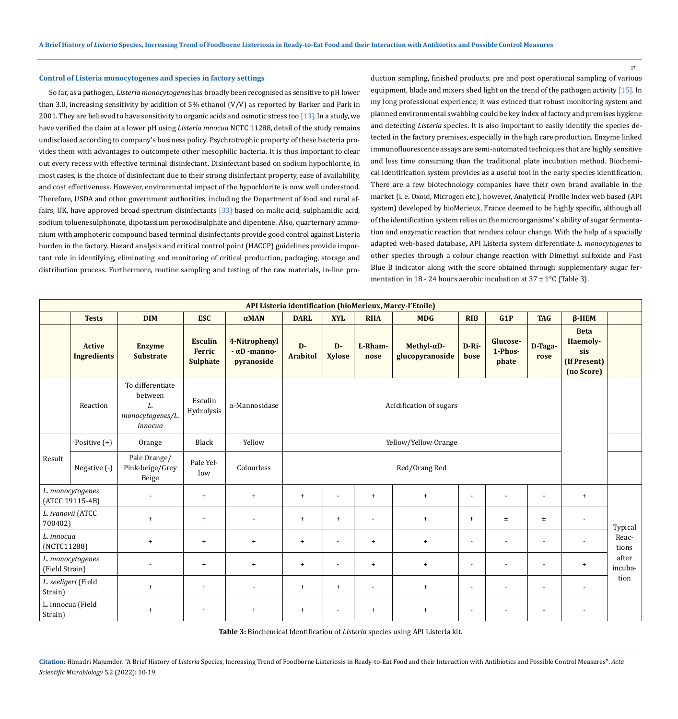#### **Control of Listeria monocytogenes and species in factory settings**

So far, as a pathogen, *Listeria monocytogenes* has broadly been recognised as sensitive to pH lower than 3.0, increasing sensitivity by addition of 5% ethanol (V/V) as reported by Barker and Park in 2001. They are believed to have sensitivity to organic acids and osmotic stress too [13]. In a study, we have verified the claim at a lower pH using *Listeria innocua* NCTC 11288, detail of the study remains undisclosed according to company's business policy. Psychrotrophic property of these bacteria provides them with advantages to outcompete other mesophilic bacteria. It is thus important to clear out every recess with effective terminal disinfectant. Disinfectant based on sodium hypochlorite, in most cases, is the choice of disinfectant due to their strong disinfectant property, ease of availability, and cost effectiveness. However, environmental impact of the hypochlorite is now well understood. Therefore, USDA and other government authorities, including the Department of food and rural affairs, UK, have approved broad spectrum disinfectants [33] based on malic acid, sulphamidic acid, sodium toluenesulphonate, dipotassium peroxodisulphate and dipentene. Also, quarternary ammonium with amphoteric compound based terminal disinfectants provide good control against Listeria burden in the factory. Hazard analysis and critical control point (HACCP) guidelines provide important role in identifying, eliminating and monitoring of critical production, packaging, storage and distribution process. Furthermore, routine sampling and testing of the raw materials, in-line production sampling, finished products, pre and post operational sampling of various equipment, blade and mixers shed light on the trend of the pathogen activity [15]. In my long professional experience, it was evinced that robust monitoring system and planned environmental swabbing could be key index of factory and premises hygiene and detecting *Listeria* species. It is also important to easily identify the species detected in the factory premises, especially in the high care production. Enzyme linked immunofluorescence assays are semi-automated techniques that are highly sensitive and less time consuming than the traditional plate incubation method. Biochemical identification system provides as a useful tool in the early species identification. There are a few biotechnology companies have their own brand available in the market (i. e. Oxoid, Microgen etc.), however, Analytical Profile Index web based (API system) developed by bioMerieux, France deemed to be highly specific, although all of the identification system relies on the microorganisms' s ability of sugar fermentation and enzymatic reaction that renders colour change. With the help of a specially adapted web-based database, API Listeria system differentiate *L. monocytogenes* to other species through a colour change reaction with Dimethyl sulfoxide and Fast Blue B indicator along with the score obtained through supplementary sugar fermentation in 18 - 24 hours aerobic incubation at 37 ± 1°C (Table 3).

|                                    | API Listeria identification (bioMerieux, Marcy-l'Etoile) |                                                                  |                                                    |                                                    |                          |                         |                 |                                        |                          |                              |                          |                                                              |                  |  |
|------------------------------------|----------------------------------------------------------|------------------------------------------------------------------|----------------------------------------------------|----------------------------------------------------|--------------------------|-------------------------|-----------------|----------------------------------------|--------------------------|------------------------------|--------------------------|--------------------------------------------------------------|------------------|--|
|                                    | <b>Tests</b>                                             | <b>DIM</b>                                                       | <b>ESC</b>                                         | $\alpha$ MAN                                       | <b>DARL</b>              | <b>XYL</b>              | <b>RHA</b>      | <b>MDG</b>                             | <b>RIB</b>               | G1P                          | <b>TAG</b>               | $\beta$ -HEM                                                 |                  |  |
|                                    | <b>Active</b><br><b>Ingredients</b>                      | <b>Enzyme</b><br><b>Substrate</b>                                | <b>Esculin</b><br><b>Ferric</b><br><b>Sulphate</b> | 4-Nitrophenyl<br>$-\alpha D$ -manno-<br>pyranoside | $D -$<br><b>Arabitol</b> | $D -$<br><b>Xylose</b>  | L-Rham-<br>nose | Methyl- $\alpha$ D-<br>glucopyranoside | D-Ri-<br>bose            | Glucose-<br>1-Phos-<br>phate | D-Taga-<br>rose          | <b>Beta</b><br>Haemoly-<br>sis<br>(If Present)<br>(no Score) |                  |  |
|                                    | Reaction                                                 | To differentiate<br>between<br>L.<br>monocytogenes/L.<br>innocua | Esculin<br>Hydrolysis                              | $\alpha$ -Mannosidase                              |                          | Acidification of sugars |                 |                                        |                          |                              |                          |                                                              |                  |  |
|                                    | Positive $(+)$                                           | Orange                                                           | Black                                              | Yellow                                             |                          | Yellow/Yellow Orange    |                 |                                        |                          |                              |                          |                                                              |                  |  |
| Result                             | Negative (-)                                             | Pale Orange/<br>Pink-beige/Grey<br>Beige                         | Pale Yel-<br>low                                   | Colourless                                         | Red/Orang Red            |                         |                 |                                        |                          |                              |                          |                                                              |                  |  |
|                                    | L. monocytogenes<br>(ATCC 19115-4B)                      |                                                                  | $+$                                                | $\ddot{\phantom{1}}$                               | $+$                      |                         | $+$             | $+$                                    |                          |                              |                          | $+$                                                          |                  |  |
| 700402)                            | L. ivanovii (ATCC                                        | $+$                                                              | $\ddot{}$                                          | $\blacksquare$                                     | $+$                      | $+$                     | $\blacksquare$  | $\ddot{}$                              | $+$                      | $\pm$                        | ±.                       | $\blacksquare$                                               | Typical          |  |
| L. innocua<br>(NCTC11288)          |                                                          | $+$                                                              | $+$                                                | $+$                                                | $+$                      | $\sim$                  | $+$             | $+$                                    |                          |                              |                          |                                                              | Reac-<br>tions   |  |
| L. monocytogenes<br>(Field Strain) |                                                          |                                                                  | $\ddot{}$                                          | $\ddot{\phantom{1}}$                               | $+$                      | $\blacksquare$          | $\ddot{}$       | $+$                                    | $\sim$                   |                              |                          | $+$                                                          | after<br>incuba- |  |
| L. seeligeri (Field<br>Strain)     |                                                          | $+$                                                              | $\ddot{}$                                          | $\blacksquare$                                     | $+$                      | $+$                     |                 | $\ddot{}$                              |                          |                              |                          | $\overline{\phantom{a}}$                                     | tion             |  |
| Strain)                            | L. innocua (Field                                        | $+$                                                              | $\ddot{}$                                          | $+$                                                | $+$                      | $\blacksquare$          | $+$             | $\ddot{}$                              | $\overline{\phantom{a}}$ |                              | $\overline{\phantom{a}}$ | $\overline{\phantom{a}}$                                     |                  |  |

**Table 3:** Biochemical Identification of *Listeria* species using API Listeria kit.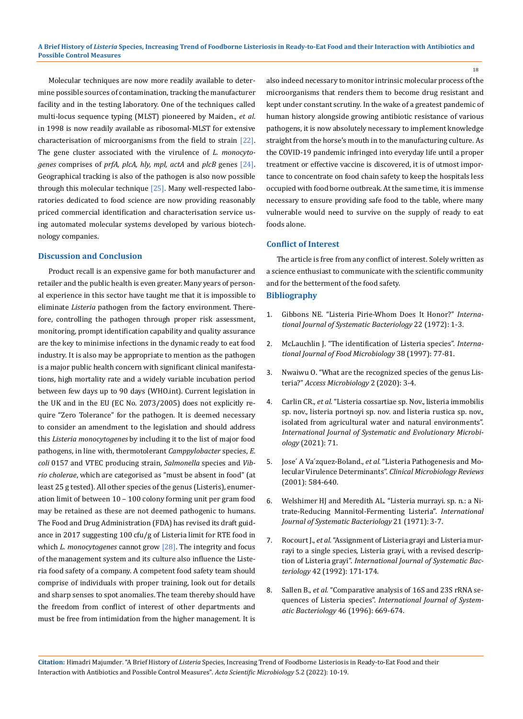Molecular techniques are now more readily available to determine possible sources of contamination, tracking the manufacturer facility and in the testing laboratory. One of the techniques called multi-locus sequence typing (MLST) pioneered by Maiden., *et al*. in 1998 is now readily available as ribosomal-MLST for extensive characterisation of microorganisms from the field to strain [22]. The gene cluster associated with the virulence of *L. monocytogenes* comprises of *prfA, plcA, hly, mpl, actA* and *plcB* genes [24]. Geographical tracking is also of the pathogen is also now possible through this molecular technique  $[25]$ . Many well-respected laboratories dedicated to food science are now providing reasonably priced commercial identification and characterisation service using automated molecular systems developed by various biotechnology companies.

# **Discussion and Conclusion**

Product recall is an expensive game for both manufacturer and retailer and the public health is even greater. Many years of personal experience in this sector have taught me that it is impossible to eliminate *Listeria* pathogen from the factory environment. Therefore, controlling the pathogen through proper risk assessment, monitoring, prompt identification capability and quality assurance are the key to minimise infections in the dynamic ready to eat food industry. It is also may be appropriate to mention as the pathogen is a major public health concern with significant clinical manifestations, high mortality rate and a widely variable incubation period between few days up to 90 days (WHO.int). Current legislation in the UK and in the EU (EC No. 2073/2005) does not explicitly require "Zero Tolerance" for the pathogen. It is deemed necessary to consider an amendment to the legislation and should address this *Listeria monocytogenes* by including it to the list of major food pathogens, in line with, thermotolerant *Camppylobacter* species, *E. coli* 0157 and VTEC producing strain, *Salmonella* species and *Vibrio cholerae*, which are categorised as "must be absent in food" (at least 25 g tested). All other species of the genus (Listeris), enumeration limit of between 10 – 100 colony forming unit per gram food may be retained as these are not deemed pathogenic to humans. The Food and Drug Administration (FDA) has revised its draft guidance in 2017 suggesting 100 cfu/g of Listeria limit for RTE food in which *L. monocytogenes* cannot grow [28]. The integrity and focus of the management system and its culture also influence the Listeria food safety of a company. A competent food safety team should comprise of individuals with proper training, look out for details and sharp senses to spot anomalies. The team thereby should have the freedom from conflict of interest of other departments and must be free from intimidation from the higher management. It is

also indeed necessary to monitor intrinsic molecular process of the microorganisms that renders them to become drug resistant and kept under constant scrutiny. In the wake of a greatest pandemic of human history alongside growing antibiotic resistance of various pathogens, it is now absolutely necessary to implement knowledge straight from the horse's mouth in to the manufacturing culture. As the COVID-19 pandemic infringed into everyday life until a proper treatment or effective vaccine is discovered, it is of utmost importance to concentrate on food chain safety to keep the hospitals less occupied with food borne outbreak. At the same time, it is immense necessary to ensure providing safe food to the table, where many vulnerable would need to survive on the supply of ready to eat foods alone.

### **Conflict of Interest**

The article is free from any conflict of interest. Solely written as a science enthusiast to communicate with the scientific community and for the betterment of the food safety.

# **Bibliography**

- 1. [Gibbons NE. "Listeria Pirie-Whom Does It Honor?"](https://www.microbiologyresearch.org/docserver/fulltext/ijsem/22/1/ijs-22-1-1.pdf?expires=1641536299&id=id&accname=guest&checksum=C47881D56EA9972F1C504FE34AFDDF8A) *Interna[tional Journal of Systematic Bacteriology](https://www.microbiologyresearch.org/docserver/fulltext/ijsem/22/1/ijs-22-1-1.pdf?expires=1641536299&id=id&accname=guest&checksum=C47881D56EA9972F1C504FE34AFDDF8A)* 22 (1972): 1-3.
- 2. [McLauchlin J. "The identification of Listeria species".](https://pubmed.ncbi.nlm.nih.gov/9498140/) *Interna[tional Journal of Food Microbiology](https://pubmed.ncbi.nlm.nih.gov/9498140/)* 38 (1997): 77-81.
- 3. [Nwaiwu O. "What are the recognized species of the genus Lis](https://www.ncbi.nlm.nih.gov/pmc/articles/PMC7656185/)teria?" *[Access Microbiology](https://www.ncbi.nlm.nih.gov/pmc/articles/PMC7656185/)* 2 (2020): 3-4.
- 4. Carlin CR., *et al.* ["Listeria cossartiae sp. Nov., listeria immobilis](https://pubmed.ncbi.nlm.nih.gov/33999788/)  [sp. nov., listeria portnoyi sp. nov. and listeria rustica sp. nov.,](https://pubmed.ncbi.nlm.nih.gov/33999788/)  [isolated from agricultural water and natural environments".](https://pubmed.ncbi.nlm.nih.gov/33999788/)  *[International Journal of Systematic and Evolutionary Microbi](https://pubmed.ncbi.nlm.nih.gov/33999788/)ology* [\(2021\): 71.](https://pubmed.ncbi.nlm.nih.gov/33999788/)
- 5. Jose´ A Va´zquez-Boland., *et al.* ["Listeria Pathogenesis and Mo](https://pubmed.ncbi.nlm.nih.gov/11432815/)lecular Virulence Determinants". *[Clinical Microbiology Reviews](https://pubmed.ncbi.nlm.nih.gov/11432815/)*  [\(2001\): 584-640.](https://pubmed.ncbi.nlm.nih.gov/11432815/)
- 6. [Welshimer HJ and Meredith AL. "Listeria murrayi. sp. n.: a Ni](https://www.microbiologyresearch.org/content/journal/ijsem/10.1099/00207713-21-1-3)[trate-Reducing Mannitol-Fermenting Listeria".](https://www.microbiologyresearch.org/content/journal/ijsem/10.1099/00207713-21-1-3) *International [Journal of Systematic Bacteriology](https://www.microbiologyresearch.org/content/journal/ijsem/10.1099/00207713-21-1-3)* 21 (1971): 3-7.
- 7. Rocourt J., *et al.* ["Assignment of Listeria grayi and Listeria mur](https://pubmed.ncbi.nlm.nih.gov/1736964/)[rayi to a single species, Listeria grayi, with a revised descrip](https://pubmed.ncbi.nlm.nih.gov/1736964/)tion of Listeria grayi". *[International Journal of Systematic Bac](https://pubmed.ncbi.nlm.nih.gov/1736964/)teriology* [42 \(1992\): 171-174.](https://pubmed.ncbi.nlm.nih.gov/1736964/)
- 8. Sallen B., *et al.* ["Comparative analysis of 16S and 23S rRNA se](https://pubmed.ncbi.nlm.nih.gov/8782674/)quences of Listeria species". *[International Journal of System](https://pubmed.ncbi.nlm.nih.gov/8782674/)atic Bacteriology* [46 \(1996\): 669-674.](https://pubmed.ncbi.nlm.nih.gov/8782674/)

**Citation:** Himadri Majumder*.* "A Brief History of *Listeria* Species, Increasing Trend of Foodborne Listeriosis in Ready-to-Eat Food and their Interaction with Antibiotics and Possible Control Measures". *Acta Scientific Microbiology* 5.2 (2022): 10-19.

18